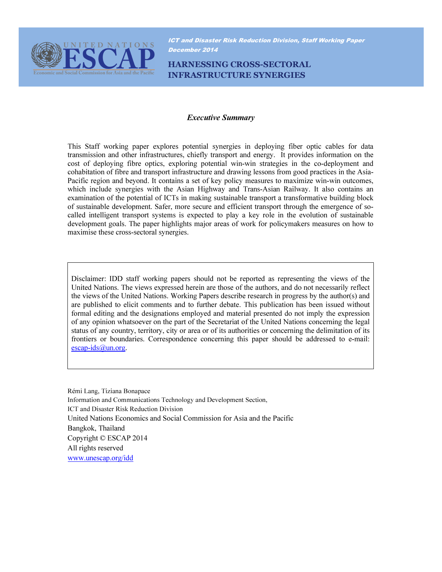

ICT and Disaster Risk Reduction Division, Staff Working Paper December 2014

HARNESSING CROSS-SECTORAL INFRASTRUCTURE SYNERGIES

#### Executive Summary

This Staff working paper explores potential synergies in deploying fiber optic cables for data transmission and other infrastructures, chiefly transport and energy. It provides information on the cost of deploying fibre optics, exploring potential win-win strategies in the co-deployment and cohabitation of fibre and transport infrastructure and drawing lessons from good practices in the Asia-Pacific region and beyond. It contains a set of key policy measures to maximize win-win outcomes, which include synergies with the Asian Highway and Trans-Asian Railway. It also contains an examination of the potential of ICTs in making sustainable transport a transformative building block of sustainable development. Safer, more secure and efficient transport through the emergence of socalled intelligent transport systems is expected to play a key role in the evolution of sustainable development goals. The paper highlights major areas of work for policymakers measures on how to maximise these cross-sectoral synergies.

Disclaimer: IDD staff working papers should not be reported as representing the views of the United Nations. The views expressed herein are those of the authors, and do not necessarily reflect the views of the United Nations. Working Papers describe research in progress by the author(s) and are published to elicit comments and to further debate. This publication has been issued without formal editing and the designations employed and material presented do not imply the expression of any opinion whatsoever on the part of the Secretariat of the United Nations concerning the legal status of any country, territory, city or area or of its authorities or concerning the delimitation of its frontiers or boundaries. Correspondence concerning this paper should be addressed to e-mail: escap-ids@un.org.

Rémi Lang, Tiziana Bonapace Information and Communications Technology and Development Section, ICT and Disaster Risk Reduction Division United Nations Economics and Social Commission for Asia and the Pacific Bangkok, Thailand Copyright © ESCAP 2014 All rights reserved www.unescap.org/idd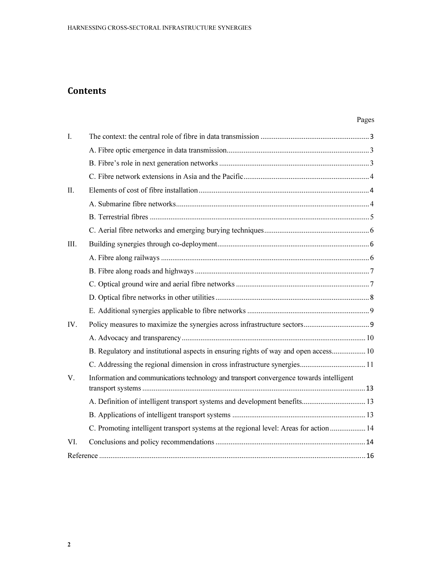# **Contents**

| I.   |                                                                                         |  |
|------|-----------------------------------------------------------------------------------------|--|
|      |                                                                                         |  |
|      |                                                                                         |  |
|      |                                                                                         |  |
| II.  |                                                                                         |  |
|      |                                                                                         |  |
|      |                                                                                         |  |
|      |                                                                                         |  |
| III. |                                                                                         |  |
|      |                                                                                         |  |
|      |                                                                                         |  |
|      |                                                                                         |  |
|      |                                                                                         |  |
|      |                                                                                         |  |
| IV.  |                                                                                         |  |
|      |                                                                                         |  |
|      | B. Regulatory and institutional aspects in ensuring rights of way and open access 10    |  |
|      | C. Addressing the regional dimension in cross infrastructure synergies 11               |  |
| V.   | Information and communications technology and transport convergence towards intelligent |  |
|      |                                                                                         |  |
|      |                                                                                         |  |
|      | C. Promoting intelligent transport systems at the regional level: Areas for action  14  |  |
| VI.  |                                                                                         |  |
|      |                                                                                         |  |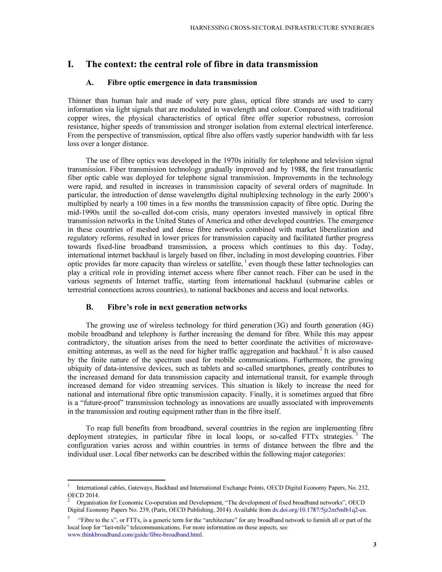## I. The context: the central role of fibre in data transmission

#### A. Fibre optic emergence in data transmission

Thinner than human hair and made of very pure glass, optical fibre strands are used to carry information via light signals that are modulated in wavelength and colour. Compared with traditional copper wires, the physical characteristics of optical fibre offer superior robustness, corrosion resistance, higher speeds of transmission and stronger isolation from external electrical interference. From the perspective of transmission, optical fibre also offers vastly superior bandwidth with far less loss over a longer distance.

The use of fibre optics was developed in the 1970s initially for telephone and television signal transmission. Fiber transmission technology gradually improved and by 1988, the first transatlantic fiber optic cable was deployed for telephone signal transmission. Improvements in the technology were rapid, and resulted in increases in transmission capacity of several orders of magnitude. In particular, the introduction of dense wavelengths digital multiplexing technology in the early 2000's multiplied by nearly a 100 times in a few months the transmission capacity of fibre optic. During the mid-1990s until the so-called dot-com crisis, many operators invested massively in optical fibre transmission networks in the United States of America and other developed countries. The emergence in these countries of meshed and dense fibre networks combined with market liberalization and regulatory reforms, resulted in lower prices for transmission capacity and facilitated further progress towards fixed-line broadband transmission, a process which continues to this day. Today, international internet backhaul is largely based on fiber, including in most developing countries. Fiber optic provides far more capacity than wireless or satellite,  $\frac{1}{1}$  even though these latter technologies can play a critical role in providing internet access where fiber cannot reach. Fiber can be used in the various segments of Internet traffic, starting from international backhaul (submarine cables or terrestrial connections across countries), to national backbones and access and local networks.

#### B. Fibre's role in next generation networks

The growing use of wireless technology for third generation (3G) and fourth generation (4G) mobile broadband and telephony is further increasing the demand for fibre. While this may appear contradictory, the situation arises from the need to better coordinate the activities of microwaveemitting antennas, as well as the need for higher traffic aggregation and backhaul.<sup>2</sup> It is also caused by the finite nature of the spectrum used for mobile communications. Furthermore, the growing ubiquity of data-intensive devices, such as tablets and so-called smartphones, greatly contributes to the increased demand for data transmission capacity and international transit, for example through increased demand for video streaming services. This situation is likely to increase the need for national and international fibre optic transmission capacity. Finally, it is sometimes argued that fibre is a "future-proof" transmission technology as innovations are usually associated with improvements in the transmission and routing equipment rather than in the fibre itself.

To reap full benefits from broadband, several countries in the region are implementing fibre deployment strategies, in particular fibre in local loops, or so-called FTTx strategies.<sup>3</sup> The configuration varies across and within countries in terms of distance between the fibre and the individual user. Local fiber networks can be described within the following major categories:

<sup>1</sup> International cables, Gateways, Backhaul and International Exchange Points, OECD Digital Economy Papers, No. 232, OECD 2014.

<sup>2</sup> Organisation for Economic Co-operation and Development, "The development of fixed broadband networks", OECD Digital Economy Papers No. 239, (Paris, OECD Publishing, 2014). Available from dx.doi.org/10.1787/5jz2m5mlb1q2-en.

<sup>3</sup> "Fibre to the x", or FTTx, is a generic term for the "architecture" for any broadband network to furnish all or part of the local loop for "last-mile" telecommunications. For more information on these aspects, see www.thinkbroadband.com/guide/fibre-broadband.html.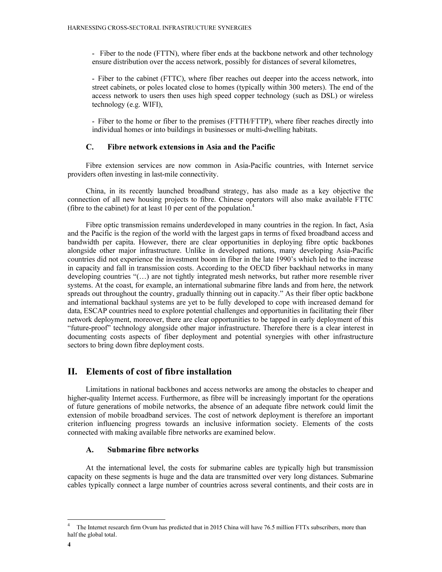- Fiber to the node (FTTN), where fiber ends at the backbone network and other technology ensure distribution over the access network, possibly for distances of several kilometres,

- Fiber to the cabinet (FTTC), where fiber reaches out deeper into the access network, into street cabinets, or poles located close to homes (typically within 300 meters). The end of the access network to users then uses high speed copper technology (such as DSL) or wireless technology (e.g. WIFI),

- Fiber to the home or fiber to the premises (FTTH/FTTP), where fiber reaches directly into individual homes or into buildings in businesses or multi-dwelling habitats.

### C. Fibre network extensions in Asia and the Pacific

Fibre extension services are now common in Asia-Pacific countries, with Internet service providers often investing in last-mile connectivity.

China, in its recently launched broadband strategy, has also made as a key objective the connection of all new housing projects to fibre. Chinese operators will also make available FTTC (fibre to the cabinet) for at least 10 per cent of the population.<sup>4</sup>

Fibre optic transmission remains underdeveloped in many countries in the region. In fact, Asia and the Pacific is the region of the world with the largest gaps in terms of fixed broadband access and bandwidth per capita. However, there are clear opportunities in deploying fibre optic backbones alongside other major infrastructure. Unlike in developed nations, many developing Asia-Pacific countries did not experience the investment boom in fiber in the late 1990's which led to the increase in capacity and fall in transmission costs. According to the OECD fiber backhaul networks in many developing countries "(…) are not tightly integrated mesh networks, but rather more resemble river systems. At the coast, for example, an international submarine fibre lands and from here, the network spreads out throughout the country, gradually thinning out in capacity." As their fiber optic backbone and international backhaul systems are yet to be fully developed to cope with increased demand for data, ESCAP countries need to explore potential challenges and opportunities in facilitating their fiber network deployment, moreover, there are clear opportunities to be tapped in early deployment of this "future-proof" technology alongside other major infrastructure. Therefore there is a clear interest in documenting costs aspects of fiber deployment and potential synergies with other infrastructure sectors to bring down fibre deployment costs.

## II. Elements of cost of fibre installation

Limitations in national backbones and access networks are among the obstacles to cheaper and higher-quality Internet access. Furthermore, as fibre will be increasingly important for the operations of future generations of mobile networks, the absence of an adequate fibre network could limit the extension of mobile broadband services. The cost of network deployment is therefore an important criterion influencing progress towards an inclusive information society. Elements of the costs connected with making available fibre networks are examined below.

#### A. Submarine fibre networks

At the international level, the costs for submarine cables are typically high but transmission capacity on these segments is huge and the data are transmitted over very long distances. Submarine cables typically connect a large number of countries across several continents, and their costs are in

 $\overline{a}$ 

<sup>4</sup> The Internet research firm Ovum has predicted that in 2015 China will have 76.5 million FTTx subscribers, more than half the global total.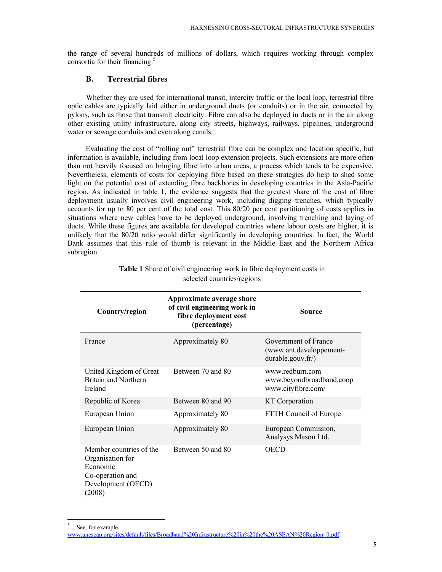the range of several hundreds of millions of dollars, which requires working through complex consortia for their financing.<sup>5</sup>

## B. Terrestrial fibres

Whether they are used for international transit, intercity traffic or the local loop, terrestrial fibre optic cables are typically laid either in underground ducts (or conduits) or in the air, connected by pylons, such as those that transmit electricity. Fibre can also be deployed in ducts or in the air along other existing utility infrastructure, along city streets, highways, railways, pipelines, underground water or sewage conduits and even along canals.

Evaluating the cost of "rolling out" terrestrial fibre can be complex and location specific, but information is available, including from local loop extension projects. Such extensions are more often than not heavily focused on bringing fibre into urban areas, a process which tends to be expensive. Nevertheless, elements of costs for deploying fibre based on these strategies do help to shed some light on the potential cost of extending fibre backbones in developing countries in the Asia-Pacific region. As indicated in table 1, the evidence suggests that the greatest share of the cost of fibre deployment usually involves civil engineering work, including digging trenches, which typically accounts for up to 80 per cent of the total cost. This 80/20 per cent partitioning of costs applies in situations where new cables have to be deployed underground, involving trenching and laying of ducts. While these figures are available for developed countries where labour costs are higher, it is unlikely that the 80/20 ratio would differ significantly in developing countries. In fact, the World Bank assumes that this rule of thumb is relevant in the Middle East and the Northern Africa subregion.

| Country/region                                                                                              | Approximate average share<br>of civil engineering work in<br>fibre deployment cost<br>(percentage) | <b>Source</b>                                                        |
|-------------------------------------------------------------------------------------------------------------|----------------------------------------------------------------------------------------------------|----------------------------------------------------------------------|
| France                                                                                                      | Approximately 80                                                                                   | Government of France<br>(www.ant.developpement-<br>durable.gouv.fr/) |
| United Kingdom of Great<br>Britain and Northern<br>Ireland                                                  | Between 70 and 80                                                                                  | www.redburn.com<br>www.beyondbroadband.coop<br>www.cityfibre.com/    |
| Republic of Korea                                                                                           | Between 80 and 90                                                                                  | <b>KT</b> Corporation                                                |
| European Union                                                                                              | Approximately 80                                                                                   | FTTH Council of Europe                                               |
| European Union                                                                                              | Approximately 80                                                                                   | European Commission,<br>Analysys Mason Ltd.                          |
| Member countries of the<br>Organisation for<br>Economic<br>Co-operation and<br>Development (OECD)<br>(2008) | Between 50 and 80                                                                                  | OECD                                                                 |

Table 1 Share of civil engineering work in fibre deployment costs in selected countries/regions

 $\overline{a}$ 

<sup>5</sup> See, for example, www.unescap.org/sites/default/files/Broadband%20Infrastructure%20in%20the%20ASEAN%20Region\_0.pdf.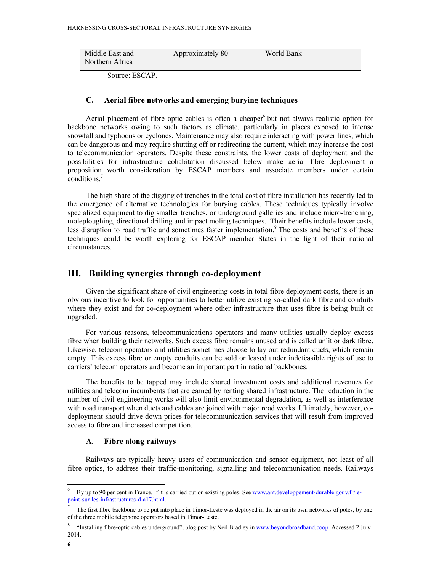| Middle East and | Approximately 80 | World Bank |
|-----------------|------------------|------------|
| Northern Africa |                  |            |

Source: ESCAP.

#### C. Aerial fibre networks and emerging burying techniques

Aerial placement of fibre optic cables is often a cheaper<sup>6</sup> but not always realistic option for backbone networks owing to such factors as climate, particularly in places exposed to intense snowfall and typhoons or cyclones. Maintenance may also require interacting with power lines, which can be dangerous and may require shutting off or redirecting the current, which may increase the cost to telecommunication operators. Despite these constraints, the lower costs of deployment and the possibilities for infrastructure cohabitation discussed below make aerial fibre deployment a proposition worth consideration by ESCAP members and associate members under certain conditions.<sup>7</sup>

The high share of the digging of trenches in the total cost of fibre installation has recently led to the emergence of alternative technologies for burying cables. These techniques typically involve specialized equipment to dig smaller trenches, or underground galleries and include micro-trenching, moleploughing, directional drilling and impact moling techniques.. Their benefits include lower costs, less disruption to road traffic and sometimes faster implementation.<sup>8</sup> The costs and benefits of these techniques could be worth exploring for ESCAP member States in the light of their national circumstances.

## III. Building synergies through co-deployment

Given the significant share of civil engineering costs in total fibre deployment costs, there is an obvious incentive to look for opportunities to better utilize existing so-called dark fibre and conduits where they exist and for co-deployment where other infrastructure that uses fibre is being built or upgraded.

For various reasons, telecommunications operators and many utilities usually deploy excess fibre when building their networks. Such excess fibre remains unused and is called unlit or dark fibre. Likewise, telecom operators and utilities sometimes choose to lay out redundant ducts, which remain empty. This excess fibre or empty conduits can be sold or leased under indefeasible rights of use to carriers' telecom operators and become an important part in national backbones.

The benefits to be tapped may include shared investment costs and additional revenues for utilities and telecom incumbents that are earned by renting shared infrastructure. The reduction in the number of civil engineering works will also limit environmental degradation, as well as interference with road transport when ducts and cables are joined with major road works. Ultimately, however, codeployment should drive down prices for telecommunication services that will result from improved access to fibre and increased competition.

#### A. Fibre along railways

Railways are typically heavy users of communication and sensor equipment, not least of all fibre optics, to address their traffic-monitoring, signalling and telecommunication needs. Railways

 $6$  By up to 90 per cent in France, if it is carried out on existing poles. See www.ant.developpement-durable.gouv.fr/lepoint-sur-les-infrastructures-d-a17.html.

<sup>7</sup> The first fibre backbone to be put into place in Timor-Leste was deployed in the air on its own networks of poles, by one of the three mobile telephone operators based in Timor-Leste.

<sup>8</sup> "Installing fibre-optic cables underground", blog post by Neil Bradley in www.beyondbroadband.coop. Accessed 2 July 2014.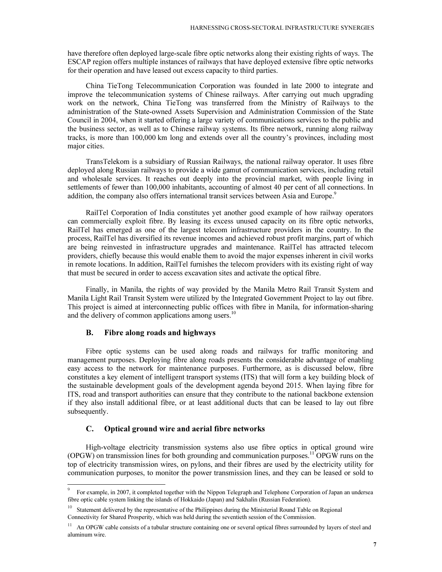have therefore often deployed large-scale fibre optic networks along their existing rights of ways. The ESCAP region offers multiple instances of railways that have deployed extensive fibre optic networks for their operation and have leased out excess capacity to third parties.

China TieTong Telecommunication Corporation was founded in late 2000 to integrate and improve the telecommunication systems of Chinese railways. After carrying out much upgrading work on the network, China TieTong was transferred from the Ministry of Railways to the administration of the State-owned Assets Supervision and Administration Commission of the State Council in 2004, when it started offering a large variety of communications services to the public and the business sector, as well as to Chinese railway systems. Its fibre network, running along railway tracks, is more than 100,000 km long and extends over all the country's provinces, including most major cities.

TransTelekom is a subsidiary of Russian Railways, the national railway operator. It uses fibre deployed along Russian railways to provide a wide gamut of communication services, including retail and wholesale services. It reaches out deeply into the provincial market, with people living in settlements of fewer than 100,000 inhabitants, accounting of almost 40 per cent of all connections. In addition, the company also offers international transit services between Asia and Europe.<sup>9</sup>

RailTel Corporation of India constitutes yet another good example of how railway operators can commercially exploit fibre. By leasing its excess unused capacity on its fibre optic networks, RailTel has emerged as one of the largest telecom infrastructure providers in the country. In the process, RailTel has diversified its revenue incomes and achieved robust profit margins, part of which are being reinvested in infrastructure upgrades and maintenance. RailTel has attracted telecom providers, chiefly because this would enable them to avoid the major expenses inherent in civil works in remote locations. In addition, RailTel furnishes the telecom providers with its existing right of way that must be secured in order to access excavation sites and activate the optical fibre.

Finally, in Manila, the rights of way provided by the Manila Metro Rail Transit System and Manila Light Rail Transit System were utilized by the Integrated Government Project to lay out fibre. This project is aimed at interconnecting public offices with fibre in Manila, for information-sharing and the delivery of common applications among users.<sup>10</sup>

#### B. Fibre along roads and highways

Fibre optic systems can be used along roads and railways for traffic monitoring and management purposes. Deploying fibre along roads presents the considerable advantage of enabling easy access to the network for maintenance purposes. Furthermore, as is discussed below, fibre constitutes a key element of intelligent transport systems (ITS) that will form a key building block of the sustainable development goals of the development agenda beyond 2015. When laying fibre for ITS, road and transport authorities can ensure that they contribute to the national backbone extension if they also install additional fibre, or at least additional ducts that can be leased to lay out fibre subsequently.

#### C. Optical ground wire and aerial fibre networks

High-voltage electricity transmission systems also use fibre optics in optical ground wire (OPGW) on transmission lines for both grounding and communication purposes.<sup>11</sup> OPGW runs on the top of electricity transmission wires, on pylons, and their fibres are used by the electricity utility for communication purposes, to monitor the power transmission lines, and they can be leased or sold to

<sup>9</sup> For example, in 2007, it completed together with the Nippon Telegraph and Telephone Corporation of Japan an undersea fibre optic cable system linking the islands of Hokkaido (Japan) and Sakhalin (Russian Federation).

<sup>&</sup>lt;sup>10</sup> Statement delivered by the representative of the Philippines during the Ministerial Round Table on Regional Connectivity for Shared Prosperity, which was held during the seventieth session of the Commission.

 $11$  An OPGW cable consists of a tubular structure containing one or several optical fibres surrounded by layers of steel and aluminum wire.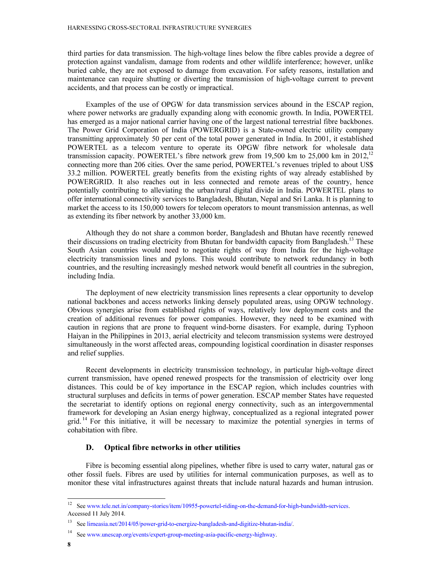third parties for data transmission. The high-voltage lines below the fibre cables provide a degree of protection against vandalism, damage from rodents and other wildlife interference; however, unlike buried cable, they are not exposed to damage from excavation. For safety reasons, installation and maintenance can require shutting or diverting the transmission of high-voltage current to prevent accidents, and that process can be costly or impractical.

Examples of the use of OPGW for data transmission services abound in the ESCAP region, where power networks are gradually expanding along with economic growth. In India, POWERTEL has emerged as a major national carrier having one of the largest national terrestrial fibre backbones. The Power Grid Corporation of India (POWERGRID) is a State-owned electric utility company transmitting approximately 50 per cent of the total power generated in India. In 2001, it established POWERTEL as a telecom venture to operate its OPGW fibre network for wholesale data transmission capacity. POWERTEL's fibre network grew from 19,500 km to 25,000 km in  $2012$ <sup>12</sup> connecting more than 206 cities. Over the same period, POWERTEL's revenues tripled to about US\$ 33.2 million. POWERTEL greatly benefits from the existing rights of way already established by POWERGRID. It also reaches out in less connected and remote areas of the country, hence potentially contributing to alleviating the urban/rural digital divide in India. POWERTEL plans to offer international connectivity services to Bangladesh, Bhutan, Nepal and Sri Lanka. It is planning to market the access to its 150,000 towers for telecom operators to mount transmission antennas, as well as extending its fiber network by another 33,000 km.

Although they do not share a common border, Bangladesh and Bhutan have recently renewed their discussions on trading electricity from Bhutan for bandwidth capacity from Bangladesh.<sup>13</sup> These South Asian countries would need to negotiate rights of way from India for the high-voltage electricity transmission lines and pylons. This would contribute to network redundancy in both countries, and the resulting increasingly meshed network would benefit all countries in the subregion, including India.

The deployment of new electricity transmission lines represents a clear opportunity to develop national backbones and access networks linking densely populated areas, using OPGW technology. Obvious synergies arise from established rights of ways, relatively low deployment costs and the creation of additional revenues for power companies. However, they need to be examined with caution in regions that are prone to frequent wind-borne disasters. For example, during Typhoon Haiyan in the Philippines in 2013, aerial electricity and telecom transmission systems were destroyed simultaneously in the worst affected areas, compounding logistical coordination in disaster responses and relief supplies.

Recent developments in electricity transmission technology, in particular high-voltage direct current transmission, have opened renewed prospects for the transmission of electricity over long distances. This could be of key importance in the ESCAP region, which includes countries with structural surpluses and deficits in terms of power generation. ESCAP member States have requested the secretariat to identify options on regional energy connectivity, such as an intergovernmental framework for developing an Asian energy highway, conceptualized as a regional integrated power grid.<sup>14</sup> For this initiative, it will be necessary to maximize the potential synergies in terms of cohabitation with fibre.

#### D. Optical fibre networks in other utilities

Fibre is becoming essential along pipelines, whether fibre is used to carry water, natural gas or other fossil fuels. Fibres are used by utilities for internal communication purposes, as well as to monitor these vital infrastructures against threats that include natural hazards and human intrusion.

<sup>&</sup>lt;sup>12</sup> See www.tele.net.in/company-stories/item/10955-powertel-riding-on-the-demand-for-high-bandwidth-services. Accessed 11 July 2014.

<sup>13</sup> See lirneasia.net/2014/05/power-grid-to-energize-bangladesh-and-digitize-bhutan-india/.

<sup>14</sup> See www.unescap.org/events/expert-group-meeting-asia-pacific-energy-highway.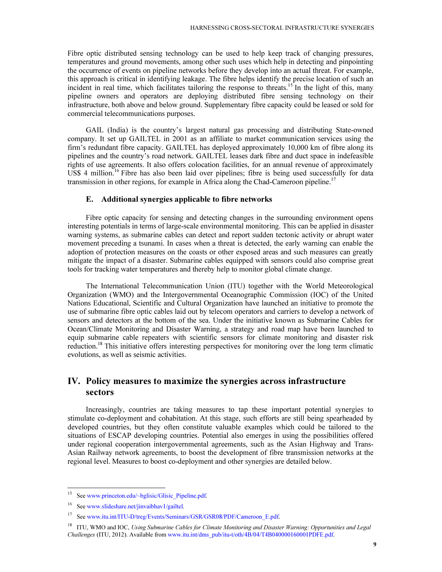Fibre optic distributed sensing technology can be used to help keep track of changing pressures, temperatures and ground movements, among other such uses which help in detecting and pinpointing the occurrence of events on pipeline networks before they develop into an actual threat. For example, this approach is critical in identifying leakage. The fibre helps identify the precise location of such an incident in real time, which facilitates tailoring the response to threats.<sup>15</sup> In the light of this, many pipeline owners and operators are deploying distributed fibre sensing technology on their infrastructure, both above and below ground. Supplementary fibre capacity could be leased or sold for commercial telecommunications purposes.

GAIL (India) is the country's largest natural gas processing and distributing State-owned company. It set up GAILTEL in 2001 as an affiliate to market communication services using the firm's redundant fibre capacity. GAILTEL has deployed approximately 10,000 km of fibre along its pipelines and the country's road network. GAILTEL leases dark fibre and duct space in indefeasible rights of use agreements. It also offers colocation facilities, for an annual revenue of approximately US\$ 4 million.<sup>16</sup> Fibre has also been laid over pipelines; fibre is being used successfully for data transmission in other regions, for example in Africa along the Chad-Cameroon pipeline.<sup>17</sup>

#### E. Additional synergies applicable to fibre networks

Fibre optic capacity for sensing and detecting changes in the surrounding environment opens interesting potentials in terms of large-scale environmental monitoring. This can be applied in disaster warning systems, as submarine cables can detect and report sudden tectonic activity or abrupt water movement preceding a tsunami. In cases when a threat is detected, the early warning can enable the adoption of protection measures on the coasts or other exposed areas and such measures can greatly mitigate the impact of a disaster. Submarine cables equipped with sensors could also comprise great tools for tracking water temperatures and thereby help to monitor global climate change.

The International Telecommunication Union (ITU) together with the World Meteorological Organization (WMO) and the Intergovernmental Oceanographic Commission (IOC) of the United Nations Educational, Scientific and Cultural Organization have launched an initiative to promote the use of submarine fibre optic cables laid out by telecom operators and carriers to develop a network of sensors and detectors at the bottom of the sea. Under the initiative known as Submarine Cables for Ocean/Climate Monitoring and Disaster Warning, a strategy and road map have been launched to equip submarine cable repeaters with scientific sensors for climate monitoring and disaster risk reduction.<sup>18</sup> This initiative offers interesting perspectives for monitoring over the long term climatic evolutions, as well as seismic activities.

## IV. Policy measures to maximize the synergies across infrastructure sectors

Increasingly, countries are taking measures to tap these important potential synergies to stimulate co-deployment and cohabitation. At this stage, such efforts are still being spearheaded by developed countries, but they often constitute valuable examples which could be tailored to the situations of ESCAP developing countries. Potential also emerges in using the possibilities offered under regional cooperation intergovernmental agreements, such as the Asian Highway and Trans-Asian Railway network agreements, to boost the development of fibre transmission networks at the regional level. Measures to boost co-deployment and other synergies are detailed below.

<sup>&</sup>lt;sup>15</sup> See www.princeton.edu/~bglisic/Glisic\_Pipeline.pdf.

<sup>16</sup> See www.slideshare.net/jinvaibhav1/gailtel.

<sup>&</sup>lt;sup>17</sup> See www.itu.int/ITU-D/treg/Events/Seminars/GSR/GSR08/PDF/Cameroon\_E.pdf.

<sup>&</sup>lt;sup>18</sup> ITU, WMO and IOC, Using Submarine Cables for Climate Monitoring and Disaster Warning: Opportunities and Legal Challenges (ITU, 2012). Available from www.itu.int/dms\_pub/itu-t/oth/4B/04/T4B040000160001PDFE.pdf.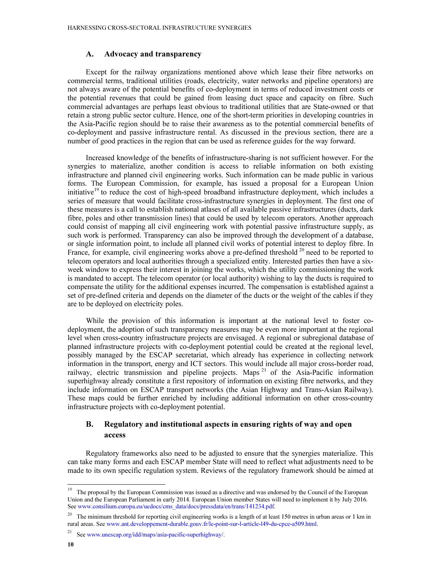#### A. Advocacy and transparency

Except for the railway organizations mentioned above which lease their fibre networks on commercial terms, traditional utilities (roads, electricity, water networks and pipeline operators) are not always aware of the potential benefits of co-deployment in terms of reduced investment costs or the potential revenues that could be gained from leasing duct space and capacity on fibre. Such commercial advantages are perhaps least obvious to traditional utilities that are State-owned or that retain a strong public sector culture. Hence, one of the short-term priorities in developing countries in the Asia-Pacific region should be to raise their awareness as to the potential commercial benefits of co-deployment and passive infrastructure rental. As discussed in the previous section, there are a number of good practices in the region that can be used as reference guides for the way forward.

Increased knowledge of the benefits of infrastructure-sharing is not sufficient however. For the synergies to materialize, another condition is access to reliable information on both existing infrastructure and planned civil engineering works. Such information can be made public in various forms. The European Commission, for example, has issued a proposal for a European Union initiative<sup>19</sup> to reduce the cost of high-speed broadband infrastructure deployment, which includes a series of measure that would facilitate cross-infrastructure synergies in deployment. The first one of these measures is a call to establish national atlases of all available passive infrastructures (ducts, dark fibre, poles and other transmission lines) that could be used by telecom operators. Another approach could consist of mapping all civil engineering work with potential passive infrastructure supply, as such work is performed. Transparency can also be improved through the development of a database, or single information point, to include all planned civil works of potential interest to deploy fibre. In France, for example, civil engineering works above a pre-defined threshold <sup>20</sup> need to be reported to telecom operators and local authorities through a specialized entity. Interested parties then have a sixweek window to express their interest in joining the works, which the utility commissioning the work is mandated to accept. The telecom operator (or local authority) wishing to lay the ducts is required to compensate the utility for the additional expenses incurred. The compensation is established against a set of pre-defined criteria and depends on the diameter of the ducts or the weight of the cables if they are to be deployed on electricity poles.

While the provision of this information is important at the national level to foster codeployment, the adoption of such transparency measures may be even more important at the regional level when cross-country infrastructure projects are envisaged. A regional or subregional database of planned infrastructure projects with co-deployment potential could be created at the regional level, possibly managed by the ESCAP secretariat, which already has experience in collecting network information in the transport, energy and ICT sectors. This would include all major cross-border road, railway, electric transmission and pipeline projects. Maps <sup>21</sup> of the Asia-Pacific information superhighway already constitute a first repository of information on existing fibre networks, and they include information on ESCAP transport networks (the Asian Highway and Trans-Asian Railway). These maps could be further enriched by including additional information on other cross-country infrastructure projects with co-deployment potential.

## B. Regulatory and institutional aspects in ensuring rights of way and open access

Regulatory frameworks also need to be adjusted to ensure that the synergies materialize. This can take many forms and each ESCAP member State will need to reflect what adjustments need to be made to its own specific regulation system. Reviews of the regulatory framework should be aimed at

<sup>&</sup>lt;sup>19</sup> The proposal by the European Commission was issued as a directive and was endorsed by the Council of the European Union and the European Parliament in early 2014. European Union member States will need to implement it by July 2016. See www.consilium.europa.eu/uedocs/cms\_data/docs/pressdata/en/trans/141234.pdf.

<sup>&</sup>lt;sup>20</sup> The minimum threshold for reporting civil engineering works is a length of at least 150 metres in urban areas or 1 km in rural areas. See www.ant.developpement-durable.gouv.fr/le-point-sur-l-article-l49-du-cpce-a509.html.

<sup>21</sup> See www.unescap.org/idd/maps/asia-pacific-superhighway/.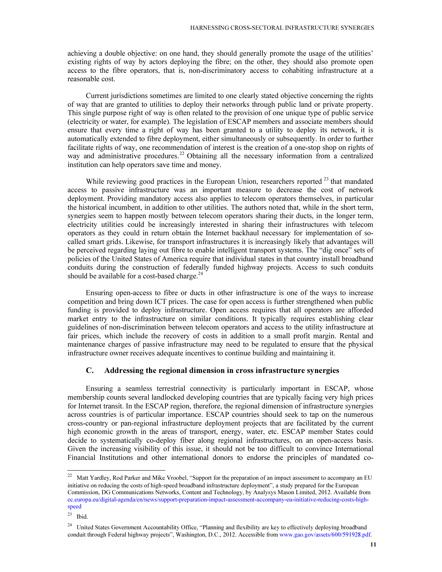achieving a double objective: on one hand, they should generally promote the usage of the utilities' existing rights of way by actors deploying the fibre; on the other, they should also promote open access to the fibre operators, that is, non-discriminatory access to cohabiting infrastructure at a reasonable cost.

Current jurisdictions sometimes are limited to one clearly stated objective concerning the rights of way that are granted to utilities to deploy their networks through public land or private property. This single purpose right of way is often related to the provision of one unique type of public service (electricity or water, for example). The legislation of ESCAP members and associate members should ensure that every time a right of way has been granted to a utility to deploy its network, it is automatically extended to fibre deployment, either simultaneously or subsequently. In order to further facilitate rights of way, one recommendation of interest is the creation of a one-stop shop on rights of way and administrative procedures.<sup>22</sup> Obtaining all the necessary information from a centralized institution can help operators save time and money.

While reviewing good practices in the European Union, researchers reported<sup>23</sup> that mandated access to passive infrastructure was an important measure to decrease the cost of network deployment. Providing mandatory access also applies to telecom operators themselves, in particular the historical incumbent, in addition to other utilities. The authors noted that, while in the short term, synergies seem to happen mostly between telecom operators sharing their ducts, in the longer term, electricity utilities could be increasingly interested in sharing their infrastructures with telecom operators as they could in return obtain the Internet backhaul necessary for implementation of socalled smart grids. Likewise, for transport infrastructures it is increasingly likely that advantages will be perceived regarding laying out fibre to enable intelligent transport systems. The "dig once" sets of policies of the United States of America require that individual states in that country install broadband conduits during the construction of federally funded highway projects. Access to such conduits should be available for a cost-based charge. $^{24}$ 

Ensuring open-access to fibre or ducts in other infrastructure is one of the ways to increase competition and bring down ICT prices. The case for open access is further strengthened when public funding is provided to deploy infrastructure. Open access requires that all operators are afforded market entry to the infrastructure on similar conditions. It typically requires establishing clear guidelines of non-discrimination between telecom operators and access to the utility infrastructure at fair prices, which include the recovery of costs in addition to a small profit margin. Rental and maintenance charges of passive infrastructure may need to be regulated to ensure that the physical infrastructure owner receives adequate incentives to continue building and maintaining it.

#### C. Addressing the regional dimension in cross infrastructure synergies

Ensuring a seamless terrestrial connectivity is particularly important in ESCAP, whose membership counts several landlocked developing countries that are typically facing very high prices for Internet transit. In the ESCAP region, therefore, the regional dimension of infrastructure synergies across countries is of particular importance. ESCAP countries should seek to tap on the numerous cross-country or pan-regional infrastructure deployment projects that are facilitated by the current high economic growth in the areas of transport, energy, water, etc. ESCAP member States could decide to systematically co-deploy fiber along regional infrastructures, on an open-access basis. Given the increasing visibility of this issue, it should not be too difficult to convince International Financial Institutions and other international donors to endorse the principles of mandated co-

l

<sup>&</sup>lt;sup>22</sup> Matt Yardley, Rod Parker and Mike Vroobel, "Support for the preparation of an impact assessment to accompany an EU initiative on reducing the costs of high-speed broadband infrastructure deployment", a study prepared for the European Commission, DG Communications Networks, Content and Technology, by Analysys Mason Limited, 2012. Available from ec.europa.eu/digital-agenda/en/news/support-preparation-impact-assessment-accompany-eu-initiative-reducing-costs-highspeed

 $23$  Ibid.

<sup>&</sup>lt;sup>24</sup> United States Government Accountability Office, "Planning and flexibility are key to effectively deploying broadband conduit through Federal highway projects", Washington, D.C., 2012. Accessible from www.gao.gov/assets/600/591928.pdf.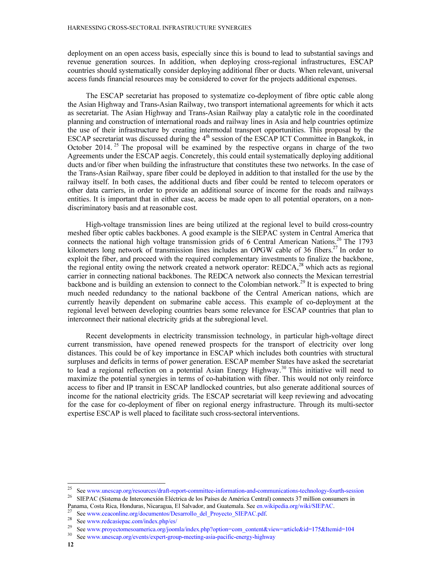deployment on an open access basis, especially since this is bound to lead to substantial savings and revenue generation sources. In addition, when deploying cross-regional infrastructures, ESCAP countries should systematically consider deploying additional fiber or ducts. When relevant, universal access funds financial resources may be considered to cover for the projects additional expenses.

The ESCAP secretariat has proposed to systematize co-deployment of fibre optic cable along the Asian Highway and Trans-Asian Railway, two transport international agreements for which it acts as secretariat. The Asian Highway and Trans-Asian Railway play a catalytic role in the coordinated planning and construction of international roads and railway lines in Asia and help countries optimize the use of their infrastructure by creating intermodal transport opportunities. This proposal by the ESCAP secretariat was discussed during the  $4<sup>th</sup>$  session of the ESCAP ICT Committee in Bangkok, in October 2014.<sup>25</sup> The proposal will be examined by the respective organs in charge of the two Agreements under the ESCAP aegis. Concretely, this could entail systematically deploying additional ducts and/or fiber when building the infrastructure that constitutes these two networks. In the case of the Trans-Asian Railway, spare fiber could be deployed in addition to that installed for the use by the railway itself. In both cases, the additional ducts and fiber could be rented to telecom operators or other data carriers, in order to provide an additional source of income for the roads and railways entities. It is important that in either case, access be made open to all potential operators, on a nondiscriminatory basis and at reasonable cost.

High-voltage transmission lines are being utilized at the regional level to build cross-country meshed fiber optic cables backbones. A good example is the SIEPAC system in Central America that connects the national high voltage transmission grids of 6 Central American Nations.<sup>26</sup> The 1793 kilometers long network of transmission lines includes an OPGW cable of 36 fibers.<sup>27</sup> In order to exploit the fiber, and proceed with the required complementary investments to finalize the backbone, the regional entity owing the network created a network operator: REDCA,<sup>28</sup> which acts as regional carrier in connecting national backbones. The REDCA network also connects the Mexican terrestrial backbone and is building an extension to connect to the Colombian network.<sup>29</sup> It is expected to bring much needed redundancy to the national backbone of the Central American nations, which are currently heavily dependent on submarine cable access. This example of co-deployment at the regional level between developing countries bears some relevance for ESCAP countries that plan to interconnect their national electricity grids at the subregional level.

Recent developments in electricity transmission technology, in particular high-voltage direct current transmission, have opened renewed prospects for the transport of electricity over long distances. This could be of key importance in ESCAP which includes both countries with structural surpluses and deficits in terms of power generation. ESCAP member States have asked the secretariat to lead a regional reflection on a potential Asian Energy Highway.<sup>30</sup> This initiative will need to maximize the potential synergies in terms of co-habitation with fiber. This would not only reinforce access to fiber and IP transit in ESCAP landlocked countries, but also generate additional sources of income for the national electricity grids. The ESCAP secretariat will keep reviewing and advocating for the case for co-deployment of fiber on regional energy infrastructure. Through its multi-sector expertise ESCAP is well placed to facilitate such cross-sectoral interventions.

<sup>&</sup>lt;sup>25</sup> See www.unescap.org/resources/draft-report-committee-information-and-communications-technology-fourth-session<br><sup>26</sup> SIEBAC (Sistema do Intersequention Eléctrica de los Poises de América Central) connects <sup>27</sup> million

<sup>26</sup> SIEPAC (Sistema de Interconexión Eléctrica de los Países de América Central) connects 37 million consumers in Panama, Costa Rica, Honduras, Nicaragua, El Salvador, and Guatemala. See en.wikipedia.org/wiki/SIEPAC.

<sup>&</sup>lt;sup>27</sup> See www.ceaconline.org/documentos/Desarrollo\_del\_Proyecto\_SIEPAC.pdf.<br><sup>28</sup> See www.gedocciones.com/index.php/so/

<sup>&</sup>lt;sup>28</sup> See www.redcasiepac.com/index.php/es/<br><sup>29</sup> See Wester Compared 29

<sup>&</sup>lt;sup>29</sup> See www.proyectomesoamerica.org/joomla/index.php?option=com\_content&view=article&id=175&Itemid=104<br><sup>30</sup> See www.progeon.org/gyoatte/gypert.croup.meeting.org/programaticle.programaticle

See www.unescap.org/events/expert-group-meeting-asia-pacific-energy-highway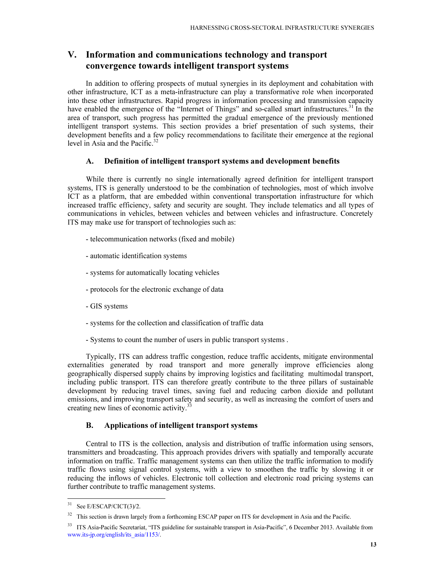## V. Information and communications technology and transport convergence towards intelligent transport systems

In addition to offering prospects of mutual synergies in its deployment and cohabitation with other infrastructure, ICT as a meta-infrastructure can play a transformative role when incorporated into these other infrastructures. Rapid progress in information processing and transmission capacity have enabled the emergence of the "Internet of Things" and so-called smart infrastructures.<sup>31</sup> In the area of transport, such progress has permitted the gradual emergence of the previously mentioned intelligent transport systems. This section provides a brief presentation of such systems, their development benefits and a few policy recommendations to facilitate their emergence at the regional level in Asia and the Pacific. $32$ 

#### A. Definition of intelligent transport systems and development benefits

While there is currently no single internationally agreed definition for intelligent transport systems, ITS is generally understood to be the combination of technologies, most of which involve ICT as a platform, that are embedded within conventional transportation infrastructure for which increased traffic efficiency, safety and security are sought. They include telematics and all types of communications in vehicles, between vehicles and between vehicles and infrastructure. Concretely ITS may make use for transport of technologies such as:

- telecommunication networks (fixed and mobile)
- automatic identification systems
- systems for automatically locating vehicles
- protocols for the electronic exchange of data
- GIS systems
- systems for the collection and classification of traffic data
- Systems to count the number of users in public transport systems .

Typically, ITS can address traffic congestion, reduce traffic accidents, mitigate environmental externalities generated by road transport and more generally improve efficiencies along geographically dispersed supply chains by improving logistics and facilitating multimodal transport, including public transport. ITS can therefore greatly contribute to the three pillars of sustainable development by reducing travel times, saving fuel and reducing carbon dioxide and pollutant emissions, and improving transport safety and security, as well as increasing the comfort of users and creating new lines of economic activity.<sup>33</sup>

#### B. Applications of intelligent transport systems

Central to ITS is the collection, analysis and distribution of traffic information using sensors, transmitters and broadcasting. This approach provides drivers with spatially and temporally accurate information on traffic. Traffic management systems can then utilize the traffic information to modify traffic flows using signal control systems, with a view to smoothen the traffic by slowing it or reducing the inflows of vehicles. Electronic toll collection and electronic road pricing systems can further contribute to traffic management systems.

 $31$  See E/ESCAP/CICT(3)/2.

<sup>&</sup>lt;sup>32</sup> This section is drawn largely from a forthcoming ESCAP paper on ITS for development in Asia and the Pacific.

<sup>&</sup>lt;sup>33</sup> ITS Asia-Pacific Secretariat, "ITS guideline for sustainable transport in Asia-Pacific", 6 December 2013. Available from www.its-jp.org/english/its\_asia/1153/.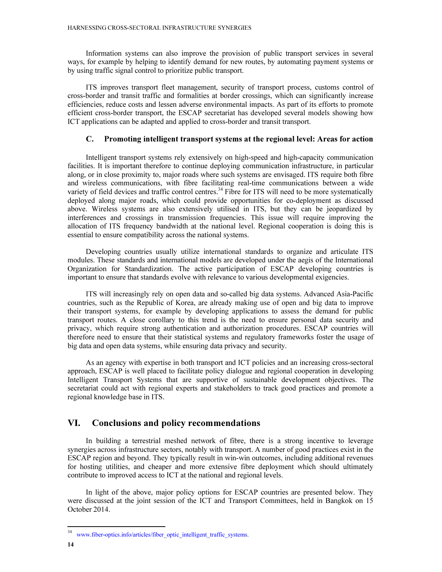Information systems can also improve the provision of public transport services in several ways, for example by helping to identify demand for new routes, by automating payment systems or by using traffic signal control to prioritize public transport.

ITS improves transport fleet management, security of transport process, customs control of cross-border and transit traffic and formalities at border crossings, which can significantly increase efficiencies, reduce costs and lessen adverse environmental impacts. As part of its efforts to promote efficient cross-border transport, the ESCAP secretariat has developed several models showing how ICT applications can be adapted and applied to cross-border and transit transport.

#### C. Promoting intelligent transport systems at the regional level: Areas for action

Intelligent transport systems rely extensively on high-speed and high-capacity communication facilities. It is important therefore to continue deploying communication infrastructure, in particular along, or in close proximity to, major roads where such systems are envisaged. ITS require both fibre and wireless communications, with fibre facilitating real-time communications between a wide variety of field devices and traffic control centres.<sup>34</sup> Fibre for ITS will need to be more systematically deployed along major roads, which could provide opportunities for co-deployment as discussed above. Wireless systems are also extensively utilised in ITS, but they can be jeopardized by interferences and crossings in transmission frequencies. This issue will require improving the allocation of ITS frequency bandwidth at the national level. Regional cooperation is doing this is essential to ensure compatibility across the national systems.

Developing countries usually utilize international standards to organize and articulate ITS modules. These standards and international models are developed under the aegis of the International Organization for Standardization. The active participation of ESCAP developing countries is important to ensure that standards evolve with relevance to various developmental exigencies.

ITS will increasingly rely on open data and so-called big data systems. Advanced Asia-Pacific countries, such as the Republic of Korea, are already making use of open and big data to improve their transport systems, for example by developing applications to assess the demand for public transport routes. A close corollary to this trend is the need to ensure personal data security and privacy, which require strong authentication and authorization procedures. ESCAP countries will therefore need to ensure that their statistical systems and regulatory frameworks foster the usage of big data and open data systems, while ensuring data privacy and security.

As an agency with expertise in both transport and ICT policies and an increasing cross-sectoral approach, ESCAP is well placed to facilitate policy dialogue and regional cooperation in developing Intelligent Transport Systems that are supportive of sustainable development objectives. The secretariat could act with regional experts and stakeholders to track good practices and promote a regional knowledge base in ITS.

## VI. Conclusions and policy recommendations

In building a terrestrial meshed network of fibre, there is a strong incentive to leverage synergies across infrastructure sectors, notably with transport. A number of good practices exist in the ESCAP region and beyond. They typically result in win-win outcomes, including additional revenues for hosting utilities, and cheaper and more extensive fibre deployment which should ultimately contribute to improved access to ICT at the national and regional levels.

In light of the above, major policy options for ESCAP countries are presented below. They were discussed at the joint session of the ICT and Transport Committees, held in Bangkok on 15 October 2014.

l

<sup>&</sup>lt;sup>34</sup> www.fiber-optics.info/articles/fiber\_optic\_intelligent\_traffic\_systems.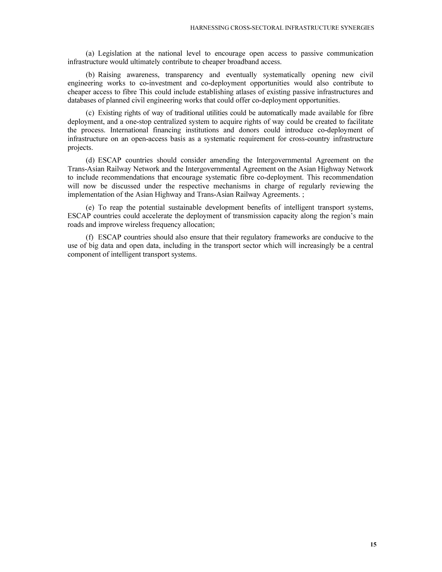(a) Legislation at the national level to encourage open access to passive communication infrastructure would ultimately contribute to cheaper broadband access.

(b) Raising awareness, transparency and eventually systematically opening new civil engineering works to co-investment and co-deployment opportunities would also contribute to cheaper access to fibre This could include establishing atlases of existing passive infrastructures and databases of planned civil engineering works that could offer co-deployment opportunities.

(c) Existing rights of way of traditional utilities could be automatically made available for fibre deployment, and a one-stop centralized system to acquire rights of way could be created to facilitate the process. International financing institutions and donors could introduce co-deployment of infrastructure on an open-access basis as a systematic requirement for cross-country infrastructure projects.

(d) ESCAP countries should consider amending the Intergovernmental Agreement on the Trans-Asian Railway Network and the Intergovernmental Agreement on the Asian Highway Network to include recommendations that encourage systematic fibre co-deployment. This recommendation will now be discussed under the respective mechanisms in charge of regularly reviewing the implementation of the Asian Highway and Trans-Asian Railway Agreements. ;

(e) To reap the potential sustainable development benefits of intelligent transport systems, ESCAP countries could accelerate the deployment of transmission capacity along the region's main roads and improve wireless frequency allocation;

(f) ESCAP countries should also ensure that their regulatory frameworks are conducive to the use of big data and open data, including in the transport sector which will increasingly be a central component of intelligent transport systems.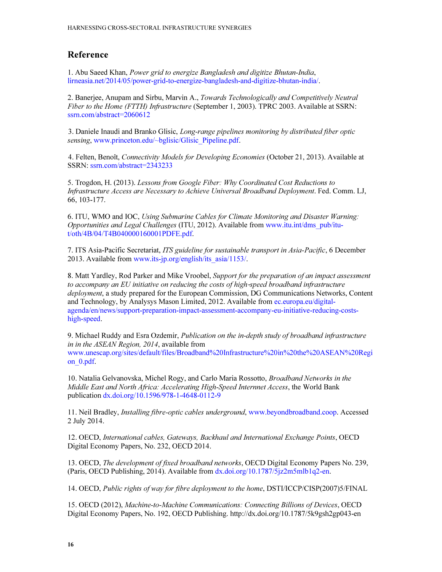## Reference

1. Abu Saeed Khan, Power grid to energize Bangladesh and digitize Bhutan-India, lirneasia.net/2014/05/power-grid-to-energize-bangladesh-and-digitize-bhutan-india/.

2. Banerjee, Anupam and Sirbu, Marvin A., Towards Technologically and Competitively Neutral Fiber to the Home (FTTH) Infrastructure (September 1, 2003). TPRC 2003. Available at SSRN: ssrn.com/abstract=2060612

3. Daniele Inaudi and Branko Glisic, Long-range pipelines monitoring by distributed fiber optic sensing, www.princeton.edu/~bglisic/Glisic\_Pipeline.pdf.

4. Felten, Benoît, Connectivity Models for Developing Economies (October 21, 2013). Available at SSRN: ssrn.com/abstract=2343233

5. Trogdon, H. (2013). Lessons from Google Fiber: Why Coordinated Cost Reductions to Infrastructure Access are Necessary to Achieve Universal Broadband Deployment. Fed. Comm. LJ, 66, 103-177.

6. ITU, WMO and IOC, Using Submarine Cables for Climate Monitoring and Disaster Warning: Opportunities and Legal Challenges (ITU, 2012). Available from www.itu.int/dms\_pub/itut/oth/4B/04/T4B040000160001PDFE.pdf.

7. ITS Asia-Pacific Secretariat, ITS guideline for sustainable transport in Asia-Pacific, 6 December 2013. Available from www.its-jp.org/english/its\_asia/1153/.

8. Matt Yardley, Rod Parker and Mike Vroobel, Support for the preparation of an impact assessment to accompany an EU initiative on reducing the costs of high‐speed broadband infrastructure deployment, a study prepared for the European Commission, DG Communications Networks, Content and Technology, by Analysys Mason Limited, 2012. Available from ec.europa.eu/digitalagenda/en/news/support-preparation-impact-assessment-accompany-eu-initiative-reducing-costshigh-speed.

9. Michael Ruddy and Esra Ozdemir, Publication on the in-depth study of broadband infrastructure in in the ASEAN Region, 2014, available from www.unescap.org/sites/default/files/Broadband%20Infrastructure%20in%20the%20ASEAN%20Regi on\_0.pdf.

10. Natalia Gelvanovska, Michel Rogy, and Carlo Maria Rossotto, Broadband Networks in the Middle East and North Africa: Accelerating High-Speed Internnet Access, the World Bank publication dx.doi.org/10.1596/978-1-4648-0112-9

11. Neil Bradley, Installing fibre-optic cables underground, www.beyondbroadband.coop. Accessed 2 July 2014.

12. OECD, International cables, Gateways, Backhaul and International Exchange Points, OECD Digital Economy Papers, No. 232, OECD 2014.

13. OECD, The development of fixed broadband networks, OECD Digital Economy Papers No. 239, (Paris, OECD Publishing, 2014). Available from dx.doi.org/10.1787/5jz2m5mlb1q2-en.

14. OECD, Public rights of way for fibre deployment to the home, DSTI/ICCP/CISP(2007)5/FINAL

15. OECD (2012), Machine-to-Machine Communications: Connecting Billions of Devices, OECD Digital Economy Papers, No. 192, OECD Publishing. http://dx.doi.org/10.1787/5k9gsh2gp043-en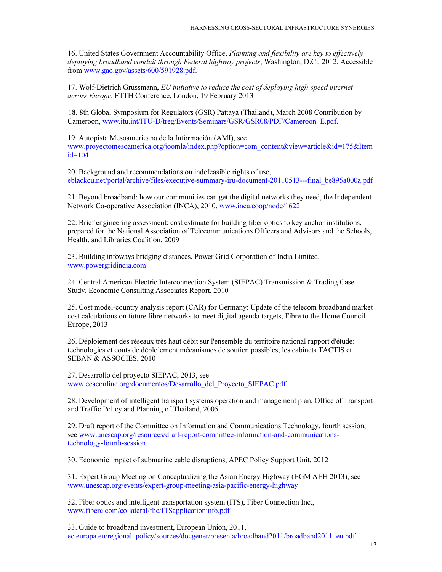16. United States Government Accountability Office, Planning and flexibility are key to effectively deploying broadband conduit through Federal highway projects, Washington, D.C., 2012. Accessible from www.gao.gov/assets/600/591928.pdf.

17. Wolf-Dietrich Grussmann, EU initiative to reduce the cost of deploying high-speed internet across Europe, FTTH Conference, London, 19 February 2013

18. 8th Global Symposium for Regulators (GSR) Pattaya (Thailand), March 2008 Contribution by Cameroon, www.itu.int/ITU-D/treg/Events/Seminars/GSR/GSR08/PDF/Cameroon\_E.pdf.

19. Autopista Mesoamericana de la Información (AMI), see www.proyectomesoamerica.org/joomla/index.php?option=com\_content&view=article&id=175&Item  $id=104$ 

20. Background and recommendations on indefeasible rights of use, eblackcu.net/portal/archive/files/executive-summary-iru-document-20110513---final\_be895a000a.pdf

21. Beyond broadband: how our communities can get the digital networks they need, the Independent Network Co-operative Association (INCA), 2010, www.inca.coop/node/1622

22. Brief engineering assessment: cost estimate for building fiber optics to key anchor institutions, prepared for the National Association of Telecommunications Officers and Advisors and the Schools, Health, and Libraries Coalition, 2009

23. Building infoways bridging distances, Power Grid Corporation of India Limited, www.powergridindia.com

24. Central American Electric Interconnection System (SIEPAC) Transmission & Trading Case Study, Economic Consulting Associates Report, 2010

25. Cost model-country analysis report (CAR) for Germany: Update of the telecom broadband market cost calculations on future fibre networks to meet digital agenda targets, Fibre to the Home Council Europe, 2013

26. Déploiement des réseaux très haut débit sur l'ensemble du territoire national rapport d'étude: technologies et couts de déploiement mécanismes de soutien possibles, les cabinets TACTIS et SEBAN & ASSOCIES, 2010

27. Desarrollo del proyecto SIEPAC, 2013, see www.ceaconline.org/documentos/Desarrollo\_del\_Proyecto\_SIEPAC.pdf.

28. Development of intelligent transport systems operation and management plan, Office of Transport and Traffic Policy and Planning of Thailand, 2005

29. Draft report of the Committee on Information and Communications Technology, fourth session, see www.unescap.org/resources/draft-report-committee-information-and-communicationstechnology-fourth-session

30. Economic impact of submarine cable disruptions, APEC Policy Support Unit, 2012

31. Expert Group Meeting on Conceptualizing the Asian Energy Highway (EGM AEH 2013), see www.unescap.org/events/expert-group-meeting-asia-pacific-energy-highway

32. Fiber optics and intelligent transportation system (ITS), Fiber Connection Inc., www.fiberc.com/collateral/fbc/ITSapplicationinfo.pdf

33. Guide to broadband investment, European Union, 2011, ec.europa.eu/regional\_policy/sources/docgener/presenta/broadband2011/broadband2011\_en.pdf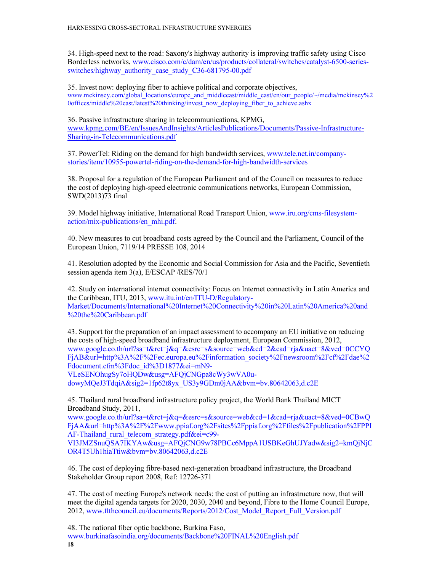34. High-speed next to the road: Saxony's highway authority is improving traffic safety using Cisco Borderless networks, www.cisco.com/c/dam/en/us/products/collateral/switches/catalyst-6500-seriesswitches/highway\_authority\_case\_study\_C36-681795-00.pdf

35. Invest now: deploying fiber to achieve political and corporate objectives, www.mckinsey.com/global\_locations/europe\_and\_middleeast/middle\_east/en/our\_people/~/media/mckinsey%2 0offices/middle%20east/latest%20thinking/invest\_now\_deploying\_fiber\_to\_achieve.ashx

36. Passive infrastructure sharing in telecommunications, KPMG, www.kpmg.com/BE/en/IssuesAndInsights/ArticlesPublications/Documents/Passive-Infrastructure-Sharing-in-Telecommunications.pdf

37. PowerTel: Riding on the demand for high bandwidth services, www.tele.net.in/companystories/item/10955-powertel-riding-on-the-demand-for-high-bandwidth-services

38. Proposal for a regulation of the European Parliament and of the Council on measures to reduce the cost of deploying high-speed electronic communications networks, European Commission, SWD(2013)73 final

39. Model highway initiative, International Road Transport Union, www.iru.org/cms-filesystemaction/mix-publications/en\_mhi.pdf.

40. New measures to cut broadband costs agreed by the Council and the Parliament, Council of the European Union, 7119/14 PRESSE 108, 2014

41. Resolution adopted by the Economic and Social Commission for Asia and the Pacific, Seventieth session agenda item 3(a), E/ESCAP /RES/70/1

42. Study on international internet connectivity: Focus on Internet connectivity in Latin America and the Caribbean, ITU, 2013, www.itu.int/en/ITU-D/Regulatory-Market/Documents/International%20Internet%20Connectivity%20in%20Latin%20America%20and %20the%20Caribbean.pdf

43. Support for the preparation of an impact assessment to accompany an EU initiative on reducing the costs of high-speed broadband infrastructure deployment, European Commission, 2012, www.google.co.th/url?sa=t&rct=j&q=&esrc=s&source=web&cd=2&cad=rja&uact=8&ved=0CCYQ FjAB&url=http%3A%2F%2Fec.europa.eu%2Finformation\_society%2Fnewsroom%2Fcf%2Fdae%2 Fdocument.cfm%3Fdoc\_id%3D1877&ei=mN9-

VLeSENOhugSy7oHQDw&usg=AFQjCNGpa8cWy3wVA0u-

dowyMQeJ3TdqiA&sig2=1fp62t8yx\_US3y9GDm0jAA&bvm=bv.80642063,d.c2E

45. Thailand rural broadband infrastructure policy project, the World Bank Thailand MICT Broadband Study, 2011,

www.google.co.th/url?sa=t&rct=j&q=&esrc=s&source=web&cd=1&cad=rja&uact=8&ved=0CBwQ FjAA&url=http%3A%2F%2Fwww.ppiaf.org%2Fsites%2Fppiaf.org%2Ffiles%2Fpublication%2FPPI AF-Thailand rural telecom strategy.pdf&ei=c99-

VI3JMZSnuQSA7IKYAw&usg=AFQjCNG9w78PBCc6MppA1USBKeGhUJYadw&sig2=kmQjNjC OR4T5Uh1hiaTtiw&bvm=bv.80642063,d.c2E

46. The cost of deploying fibre-based next-generation broadband infrastructure, the Broadband Stakeholder Group report 2008, Ref: 12726-371

47. The cost of meeting Europe's network needs: the cost of putting an infrastructure now, that will meet the digital agenda targets for 2020, 2030, 2040 and beyond, Fibre to the Home Council Europe, 2012, www.ftthcouncil.eu/documents/Reports/2012/Cost\_Model\_Report\_Full\_Version.pdf

18 48. The national fiber optic backbone, Burkina Faso, www.burkinafasoindia.org/documents/Backbone%20FINAL%20English.pdf